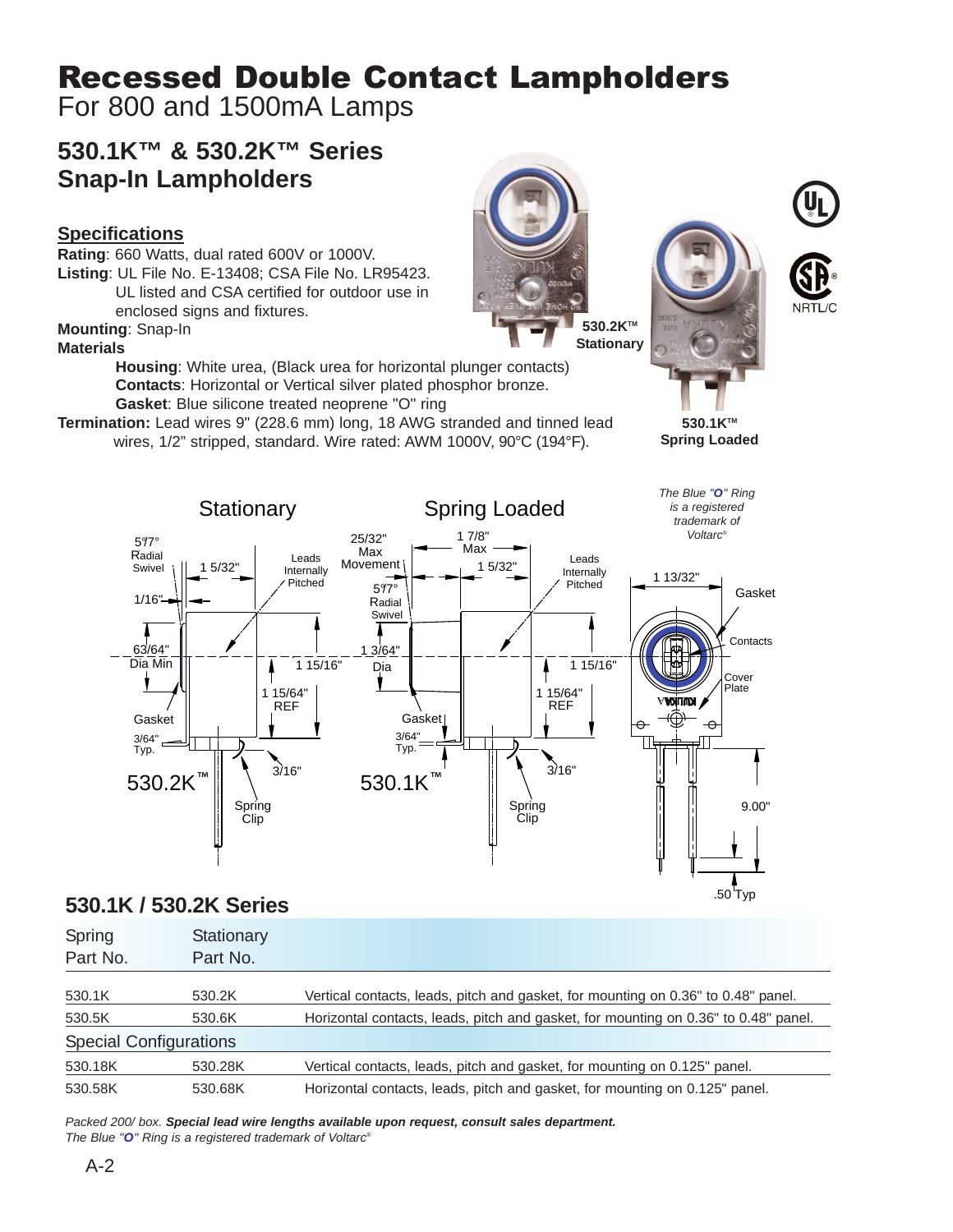# Recessed Double Contact Lampholders

For 800 and 1500mA Lamps

# **530.1K™ & 530.2K™ Series Snap-In Lampholders**

### **Specifications**

**Rating**: 660 Watts, dual rated 600V or 1000V. **Listing**: UL File No. E-13408; CSA File No. LR95423. UL listed and CSA certified for outdoor use in enclosed signs and fixtures.

#### **Mounting**: Snap-In

#### **Materials**

**Housing**: White urea, (Black urea for horizontal plunger contacts) **Contacts**: Horizontal or Vertical silver plated phosphor bronze. **Gasket**: Blue silicone treated neoprene "O" ring

**Termination:** Lead wires 9" (228.6 mm) long, 18 AWG stranded and tinned lead wires, 1/2" stripped, standard. Wire rated: AWM 1000V, 90°C (194°F).







**530.1KTM Spring Loaded**



## **530.1K / 530.2K Series**

| Spring<br>Part No.            | Stationary<br>Part No. |                                                                                     |
|-------------------------------|------------------------|-------------------------------------------------------------------------------------|
| 530.1K                        | 530.2K                 | Vertical contacts, leads, pitch and gasket, for mounting on 0.36" to 0.48" panel.   |
| 530.5K                        | 530.6K                 | Horizontal contacts, leads, pitch and gasket, for mounting on 0.36" to 0.48" panel. |
| <b>Special Configurations</b> |                        |                                                                                     |
| 530.18K                       | 530.28K                | Vertical contacts, leads, pitch and gasket, for mounting on 0.125" panel.           |
| 530.58K                       | 530.68K                | Horizontal contacts, leads, pitch and gasket, for mounting on 0.125" panel.         |

Packed 200/ box. **Special lead wire lengths available upon request, consult sales department.** The Blue "**O**" Ring is a registered trademark of Voltarc®